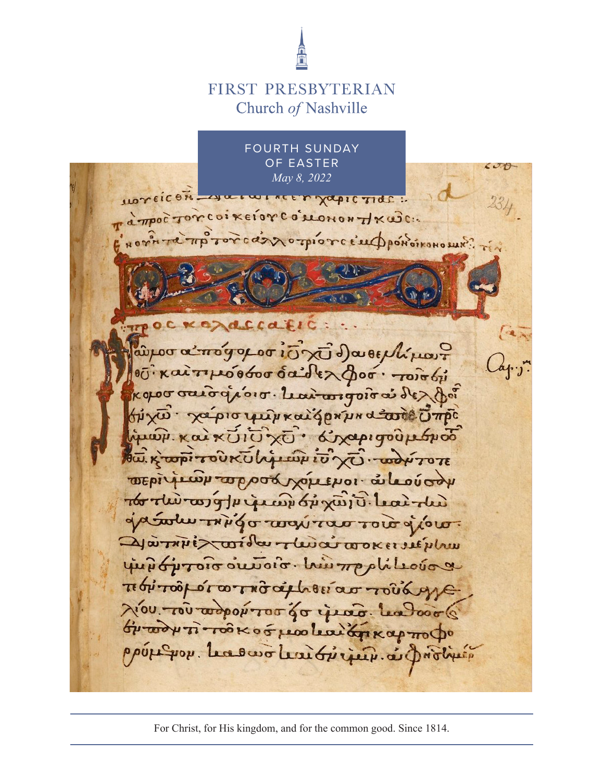

FOURTH SUNDAY OF EASTER  $\mathcal{L} \cup \mathcal{D}$ *May 8, 2022* myapic Tids: istor Grecoixeior Coinon Hxwc Surononiona proigro Actos rora KOZOCCOEIC aupor a mogopor io xi dasephipor BU KaiTHLOG boo daisles Cor. Torobi kopo oatogrovo. Lai-wigoirai de doi σύχω · χαριστικαίζρημα d= στο δηρο ipur Kai KUIUXU · os xapigou popo BW. x DOT TOUXULLIUTYUTY COTTOT modio de roya signoon que que jogu To The cost of warp you to the corder to ja sije vor vorrigo opist ustadyje April 1978 pour ident worden en dint vodoslida que una sistema sistenio Η σχειδίστ το προσφορήση του λόστηση N'ou - Tou codport of o quad. La door 6 opor por podroostooleai mario pour vous les des districts de l'origines

For Christ, for His kingdom, and for the common good. Since 1814.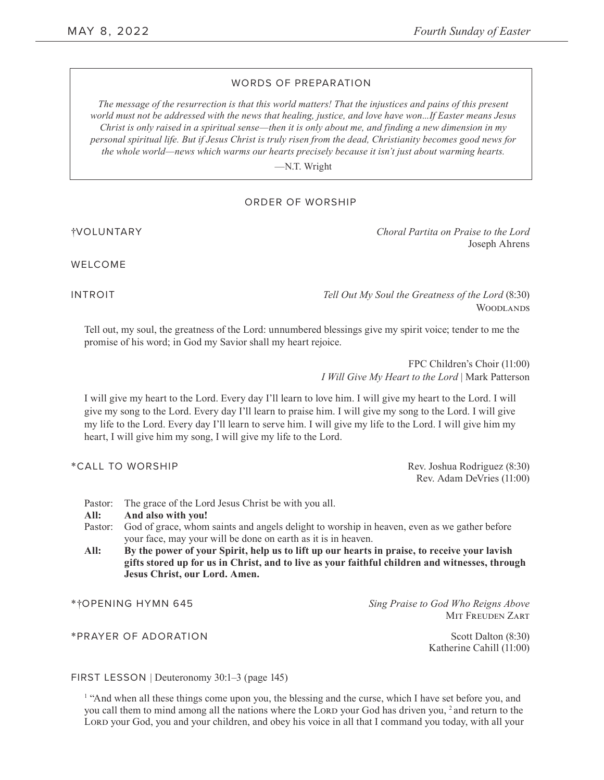# WORDS OF PREPARATION

*The message of the resurrection is that this world matters! That the injustices and pains of this present world must not be addressed with the news that healing, justice, and love have won...If Easter means Jesus Christ is only raised in a spiritual sense—then it is only about me, and finding a new dimension in my personal spiritual life. But if Jesus Christ is truly risen from the dead, Christianity becomes good news for the whole world—news which warms our hearts precisely because it isn't just about warming hearts.*

—N.T. Wright

# ORDER OF WORSHIP

†VOLUNTARY *Choral Partita on Praise to the Lord*

WELCOME

INTROIT *Tell Out My Soul the Greatness of the Lord* (8:30)

**WOODLANDS** 

Joseph Ahrens

Tell out, my soul, the greatness of the Lord: unnumbered blessings give my spirit voice; tender to me the promise of his word; in God my Savior shall my heart rejoice.

> FPC Children's Choir (11:00) *I Will Give My Heart to the Lord* | Mark Patterson

I will give my heart to the Lord. Every day I'll learn to love him. I will give my heart to the Lord. I will give my song to the Lord. Every day I'll learn to praise him. I will give my song to the Lord. I will give my life to the Lord. Every day I'll learn to serve him. I will give my life to the Lord. I will give him my heart, I will give him my song, I will give my life to the Lord.

\*CALL TO WORSHIP Rev. Joshua Rodriguez (8:30) Rev. Adam DeVries (11:00)

Pastor: The grace of the Lord Jesus Christ be with you all.

- **All: And also with you!**
- Pastor: God of grace, whom saints and angels delight to worship in heaven, even as we gather before your face, may your will be done on earth as it is in heaven.
- **All: By the power of your Spirit, help us to lift up our hearts in praise, to receive your lavish gifts stored up for us in Christ, and to live as your faithful children and witnesses, through Jesus Christ, our Lord. Amen.**

\*†OPENING HYMN 645 *Sing Praise to God Who Reigns Above*  Mit Freuden Zart

\*PRAYER OF ADORATION Scott Dalton (8:30)

Katherine Cahill (11:00)

FIRST LESSON | Deuteronomy 30:1–3 (page 145)

<sup>1</sup> "And when all these things come upon you, the blessing and the curse, which I have set before you, and you call them to mind among all the nations where the LORD your God has driven you, <sup>2</sup> and return to the LORD your God, you and your children, and obey his voice in all that I command you today, with all your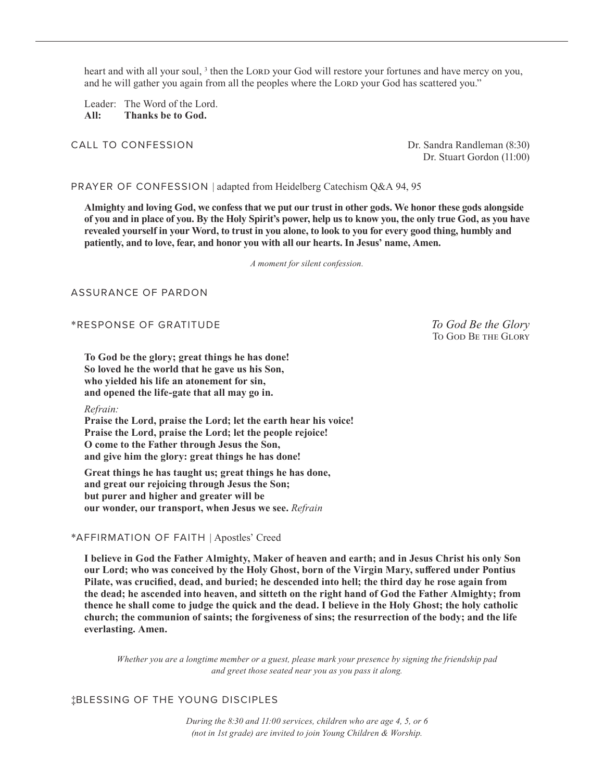heart and with all your soul, <sup>3</sup> then the LORD your God will restore your fortunes and have mercy on you, and he will gather you again from all the peoples where the LORD your God has scattered you."

Leader: The Word of the Lord. **All: Thanks be to God.**

CALL TO CONFESSION DR. Sandra Randleman (8:30)

Dr. Stuart Gordon (11:00)

PRAYER OF CONFESSION | adapted from Heidelberg Catechism Q&A 94, 95

**Almighty and loving God, we confess that we put our trust in other gods. We honor these gods alongside of you and in place of you. By the Holy Spirit's power, help us to know you, the only true God, as you have revealed yourself in your Word, to trust in you alone, to look to you for every good thing, humbly and patiently, and to love, fear, and honor you with all our hearts. In Jesus' name, Amen.** 

*A moment for silent confession.*

ASSURANCE OF PARDON

\*RESPONSE OF GRATITUDE *To God Be the Glory* 

**To God be the glory; great things he has done! So loved he the world that he gave us his Son, who yielded his life an atonement for sin, and opened the life-gate that all may go in.** 

*Refrain:* 

**Praise the Lord, praise the Lord; let the earth hear his voice! Praise the Lord, praise the Lord; let the people rejoice! O come to the Father through Jesus the Son, and give him the glory: great things he has done!** 

**Great things he has taught us; great things he has done, and great our rejoicing through Jesus the Son; but purer and higher and greater will be our wonder, our transport, when Jesus we see.** *Refrain*

#### \*AFFIRMATION OF FAITH | Apostles' Creed

**I believe in God the Father Almighty, Maker of heaven and earth; and in Jesus Christ his only Son our Lord; who was conceived by the Holy Ghost, born of the Virgin Mary, suffered under Pontius Pilate, was crucified, dead, and buried; he descended into hell; the third day he rose again from the dead; he ascended into heaven, and sitteth on the right hand of God the Father Almighty; from thence he shall come to judge the quick and the dead. I believe in the Holy Ghost; the holy catholic church; the communion of saints; the forgiveness of sins; the resurrection of the body; and the life everlasting. Amen.** 

*Whether you are a longtime member or a guest, please mark your presence by signing the friendship pad and greet those seated near you as you pass it along.*

# ‡BLESSING OF THE YOUNG DISCIPLES

*During the 8:30 and 11:00 services, children who are age 4, 5, or 6 (not in 1st grade) are invited to join Young Children & Worship.*

To God Be the Glory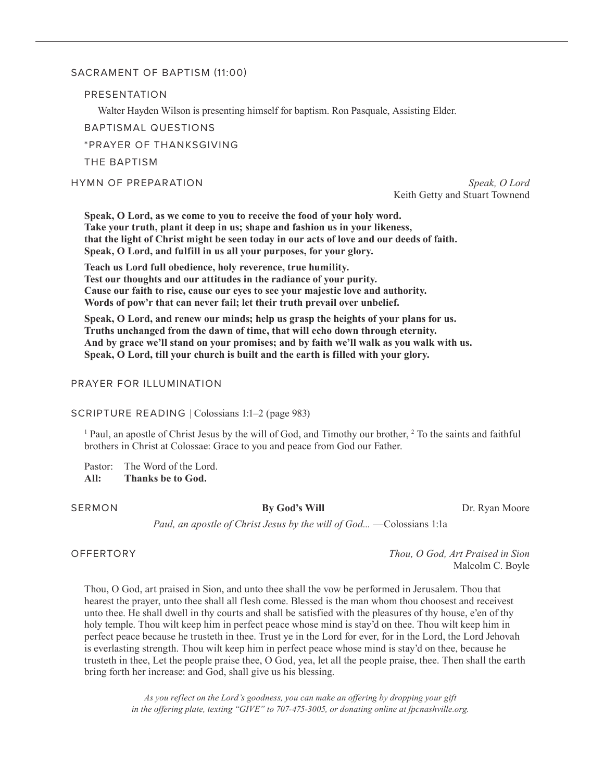# SACRAMENT OF BAPTISM (11:00)

#### PRESENTATION

Walter Hayden Wilson is presenting himself for baptism. Ron Pasquale, Assisting Elder.

BAPTISMAL QUESTIONS

\*PRAYER OF THANKSGIVING

THE BAPTISM

HYMN OF PREPARATION *Speak, O Lord* 

Keith Getty and Stuart Townend

**Speak, O Lord, as we come to you to receive the food of your holy word. Take your truth, plant it deep in us; shape and fashion us in your likeness, that the light of Christ might be seen today in our acts of love and our deeds of faith. Speak, O Lord, and fulfill in us all your purposes, for your glory.** 

**Teach us Lord full obedience, holy reverence, true humility. Test our thoughts and our attitudes in the radiance of your purity. Cause our faith to rise, cause our eyes to see your majestic love and authority. Words of pow'r that can never fail; let their truth prevail over unbelief.** 

**Speak, O Lord, and renew our minds; help us grasp the heights of your plans for us. Truths unchanged from the dawn of time, that will echo down through eternity. And by grace we'll stand on your promises; and by faith we'll walk as you walk with us. Speak, O Lord, till your church is built and the earth is filled with your glory.** 

## PRAYER FOR ILLUMINATION

SCRIPTURE READING | Colossians 1:1–2 (page 983)

<sup>1</sup> Paul, an apostle of Christ Jesus by the will of God, and Timothy our brother, <sup>2</sup> To the saints and faithful brothers in Christ at Colossae: Grace to you and peace from God our Father.

Pastor: The Word of the Lord. **All: Thanks be to God.** 

#### **SERMON By God's Will Dr.** Ryan Moore

*Paul, an apostle of Christ Jesus by the will of God...* —Colossians 1:1a

OFFERTORY *Thou, O God, Art Praised in Sion*  Malcolm C. Boyle

Thou, O God, art praised in Sion, and unto thee shall the vow be performed in Jerusalem. Thou that hearest the prayer, unto thee shall all flesh come. Blessed is the man whom thou choosest and receivest unto thee. He shall dwell in thy courts and shall be satisfied with the pleasures of thy house, e'en of thy holy temple. Thou wilt keep him in perfect peace whose mind is stay'd on thee. Thou wilt keep him in perfect peace because he trusteth in thee. Trust ye in the Lord for ever, for in the Lord, the Lord Jehovah is everlasting strength. Thou wilt keep him in perfect peace whose mind is stay'd on thee, because he trusteth in thee, Let the people praise thee, O God, yea, let all the people praise, thee. Then shall the earth bring forth her increase: and God, shall give us his blessing.

> *As you reflect on the Lord's goodness, you can make an offering by dropping your gift in the offering plate, texting "GIVE" to 707-475-3005, or donating online at fpcnashville.org.*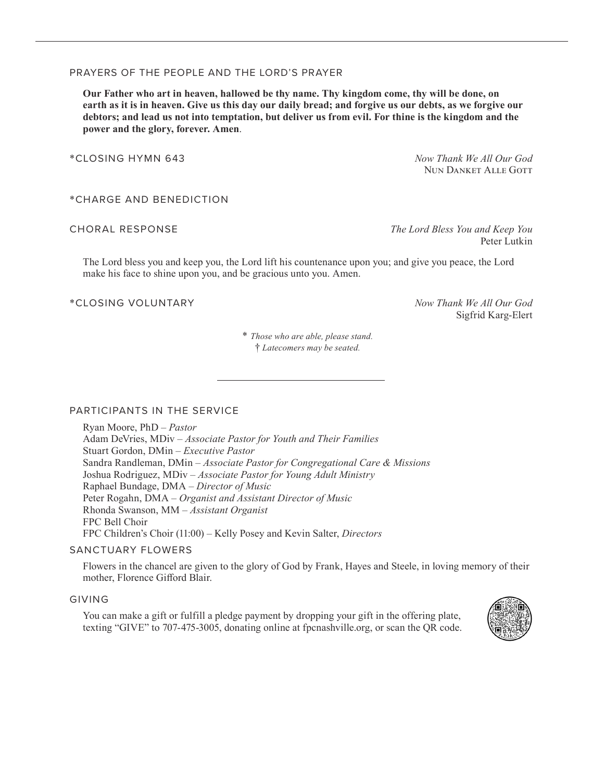## PRAYERS OF THE PEOPLE AND THE LORD'S PRAYER

**Our Father who art in heaven, hallowed be thy name. Thy kingdom come, thy will be done, on earth as it is in heaven. Give us this day our daily bread; and forgive us our debts, as we forgive our debtors; and lead us not into temptation, but deliver us from evil. For thine is the kingdom and the power and the glory, forever. Amen**.

\*CLOSING HYMN 643 *Now Thank We All Our God* 

Nun Danket Alle Gott

## \*CHARGE AND BENEDICTION

CHORAL RESPONSE *The Lord Bless You and Keep You*  Peter Lutkin

The Lord bless you and keep you, the Lord lift his countenance upon you; and give you peace, the Lord make his face to shine upon you, and be gracious unto you. Amen.

\*CLOSING VOLUNTARY *Now Thank We All Our God*

Sigfrid Karg-Elert

\* *Those who are able, please stand.* † *Latecomers may be seated.*

# PARTICIPANTS IN THE SERVICE

Ryan Moore, PhD – *Pastor* Adam DeVries, MDiv – *Associate Pastor for Youth and Their Families* Stuart Gordon, DMin – *Executive Pastor*  Sandra Randleman, DMin – *Associate Pastor for Congregational Care & Missions*  Joshua Rodriguez, MDiv – *Associate Pastor for Young Adult Ministry*  Raphael Bundage, DMA – *Director of Music*  Peter Rogahn, DMA – *Organist and Assistant Director of Music*  Rhonda Swanson, MM – *Assistant Organist*  FPC Bell Choir FPC Children's Choir (11:00) – Kelly Posey and Kevin Salter, *Directors*

#### SANCTUARY FLOWERS

Flowers in the chancel are given to the glory of God by Frank, Hayes and Steele, in loving memory of their mother, Florence Gifford Blair.

### GIVING

You can make a gift or fulfill a pledge payment by dropping your gift in the offering plate, texting "GIVE" to 707-475-3005, donating online at fpcnashville.org, or scan the QR code.

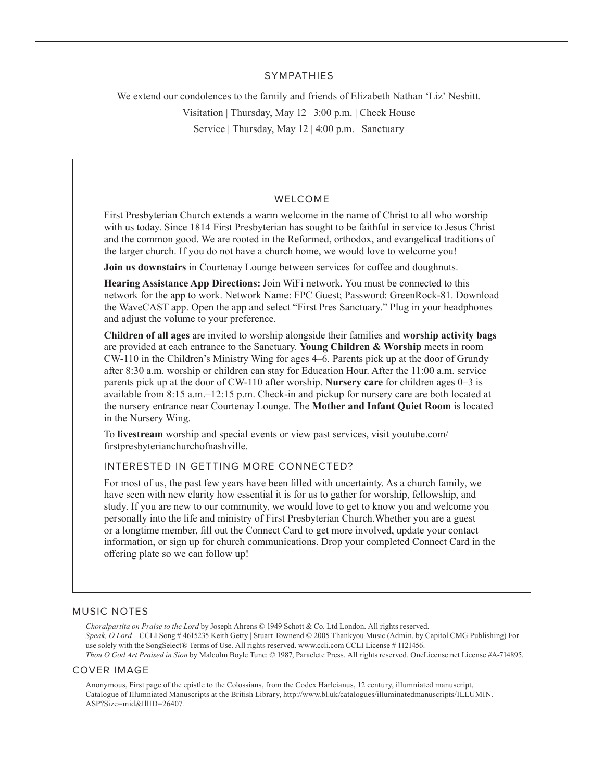# SYMPATHIES

We extend our condolences to the family and friends of Elizabeth Nathan 'Liz' Nesbitt.

Visitation | Thursday, May 12 | 3:00 p.m. | Cheek House

Service | Thursday, May 12 | 4:00 p.m. | Sanctuary

# WELCOME

First Presbyterian Church extends a warm welcome in the name of Christ to all who worship with us today. Since 1814 First Presbyterian has sought to be faithful in service to Jesus Christ and the common good. We are rooted in the Reformed, orthodox, and evangelical traditions of the larger church. If you do not have a church home, we would love to welcome you!

**Join us downstairs** in Courtenay Lounge between services for coffee and doughnuts.

**Hearing Assistance App Directions:** Join WiFi network. You must be connected to this network for the app to work. Network Name: FPC Guest; Password: GreenRock-81. Download the WaveCAST app. Open the app and select "First Pres Sanctuary." Plug in your headphones and adjust the volume to your preference.

**Children of all ages** are invited to worship alongside their families and **worship activity bags** are provided at each entrance to the Sanctuary. **Young Children & Worship** meets in room CW-110 in the Children's Ministry Wing for ages 4–6. Parents pick up at the door of Grundy after 8:30 a.m. worship or children can stay for Education Hour. After the 11:00 a.m. service parents pick up at the door of CW-110 after worship. **Nursery care** for children ages 0–3 is available from 8:15 a.m.–12:15 p.m. Check-in and pickup for nursery care are both located at the nursery entrance near Courtenay Lounge. The **Mother and Infant Quiet Room** is located in the Nursery Wing.

To **livestream** worship and special events or view past services, visit youtube.com/ firstpresbyterianchurchofnashville.

# INTERESTED IN GETTING MORE CONNECTED?

For most of us, the past few years have been filled with uncertainty. As a church family, we have seen with new clarity how essential it is for us to gather for worship, fellowship, and study. If you are new to our community, we would love to get to know you and welcome you personally into the life and ministry of First Presbyterian Church.Whether you are a guest or a longtime member, fill out the Connect Card to get more involved, update your contact information, or sign up for church communications. Drop your completed Connect Card in the offering plate so we can follow up!

### MUSIC NOTES

*Choralpartita on Praise to the Lord* by Joseph Ahrens © 1949 Schott & Co. Ltd London. All rights reserved. *Speak, O Lord* – CCLI Song # 4615235 Keith Getty | Stuart Townend © 2005 Thankyou Music (Admin. by Capitol CMG Publishing) For use solely with the SongSelect® Terms of Use. All rights reserved. www.ccli.com CCLI License # 1121456. *Thou O God Art Praised in Sion* by Malcolm Boyle Tune: © 1987, Paraclete Press. All rights reserved. OneLicense.net License #A-714895.

#### COVER IMAGE

Anonymous, First page of the epistle to the Colossians, from the Codex Harleianus, 12 century, illumniated manuscript, Catalogue of Illumniated Manuscripts at the British Library, http://www.bl.uk/catalogues/illuminatedmanuscripts/ILLUMIN. ASP?Size=mid&IllID=26407.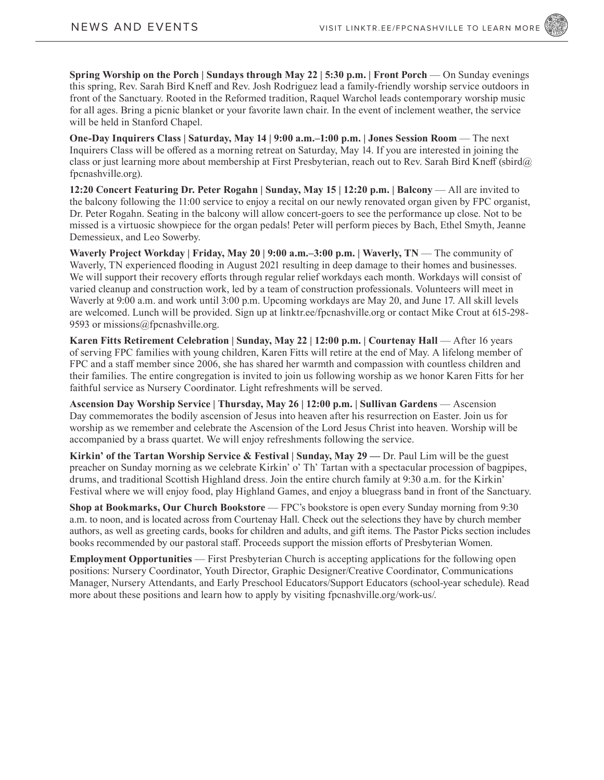**Spring Worship on the Porch | Sundays through May 22 | 5:30 p.m. | Front Porch** — On Sunday evenings this spring, Rev. Sarah Bird Kneff and Rev. Josh Rodriguez lead a family-friendly worship service outdoors in front of the Sanctuary. Rooted in the Reformed tradition, Raquel Warchol leads contemporary worship music for all ages. Bring a picnic blanket or your favorite lawn chair. In the event of inclement weather, the service will be held in Stanford Chapel.

**One-Day Inquirers Class | Saturday, May 14 | 9:00 a.m.–1:00 p.m. | Jones Session Room** — The next Inquirers Class will be offered as a morning retreat on Saturday, May 14. If you are interested in joining the class or just learning more about membership at First Presbyterian, reach out to Rev. Sarah Bird Kneff (sbird@ fpcnashville.org).

**12:20 Concert Featuring Dr. Peter Rogahn | Sunday, May 15 | 12:20 p.m. | Balcony — All are invited to** the balcony following the 11:00 service to enjoy a recital on our newly renovated organ given by FPC organist, Dr. Peter Rogahn. Seating in the balcony will allow concert-goers to see the performance up close. Not to be missed is a virtuosic showpiece for the organ pedals! Peter will perform pieces by Bach, Ethel Smyth, Jeanne Demessieux, and Leo Sowerby.

**Waverly Project Workday | Friday, May 20 | 9:00 a.m.–3:00 p.m. | Waverly, TN** — The community of Waverly, TN experienced flooding in August 2021 resulting in deep damage to their homes and businesses. We will support their recovery efforts through regular relief workdays each month. Workdays will consist of varied cleanup and construction work, led by a team of construction professionals. Volunteers will meet in Waverly at 9:00 a.m. and work until 3:00 p.m. Upcoming workdays are May 20, and June 17. All skill levels are welcomed. Lunch will be provided. Sign up at linktr.ee/fpcnashville.org or contact Mike Crout at 615-298- 9593 or missions@fpcnashville.org.

**Karen Fitts Retirement Celebration | Sunday, May 22 | 12:00 p.m. | Courtenay Hall — After 16 years** of serving FPC families with young children, Karen Fitts will retire at the end of May. A lifelong member of FPC and a staff member since 2006, she has shared her warmth and compassion with countless children and their families. The entire congregation is invited to join us following worship as we honor Karen Fitts for her faithful service as Nursery Coordinator. Light refreshments will be served.

**Ascension Day Worship Service | Thursday, May 26 | 12:00 p.m. | Sullivan Gardens** — Ascension Day commemorates the bodily ascension of Jesus into heaven after his resurrection on Easter. Join us for worship as we remember and celebrate the Ascension of the Lord Jesus Christ into heaven. Worship will be accompanied by a brass quartet. We will enjoy refreshments following the service.

**Kirkin' of the Tartan Worship Service & Festival | Sunday, May 29 —** Dr. Paul Lim will be the guest preacher on Sunday morning as we celebrate Kirkin' o' Th' Tartan with a spectacular procession of bagpipes, drums, and traditional Scottish Highland dress. Join the entire church family at 9:30 a.m. for the Kirkin' Festival where we will enjoy food, play Highland Games, and enjoy a bluegrass band in front of the Sanctuary.

**Shop at Bookmarks, Our Church Bookstore** — FPC's bookstore is open every Sunday morning from 9:30 a.m. to noon, and is located across from Courtenay Hall. Check out the selections they have by church member authors, as well as greeting cards, books for children and adults, and gift items. The Pastor Picks section includes books recommended by our pastoral staff. Proceeds support the mission efforts of Presbyterian Women.

**Employment Opportunities** — First Presbyterian Church is accepting applications for the following open positions: Nursery Coordinator, Youth Director, Graphic Designer/Creative Coordinator, Communications Manager, Nursery Attendants, and Early Preschool Educators/Support Educators (school-year schedule). Read more about these positions and learn how to apply by visiting fpcnashville.org/work-us/.